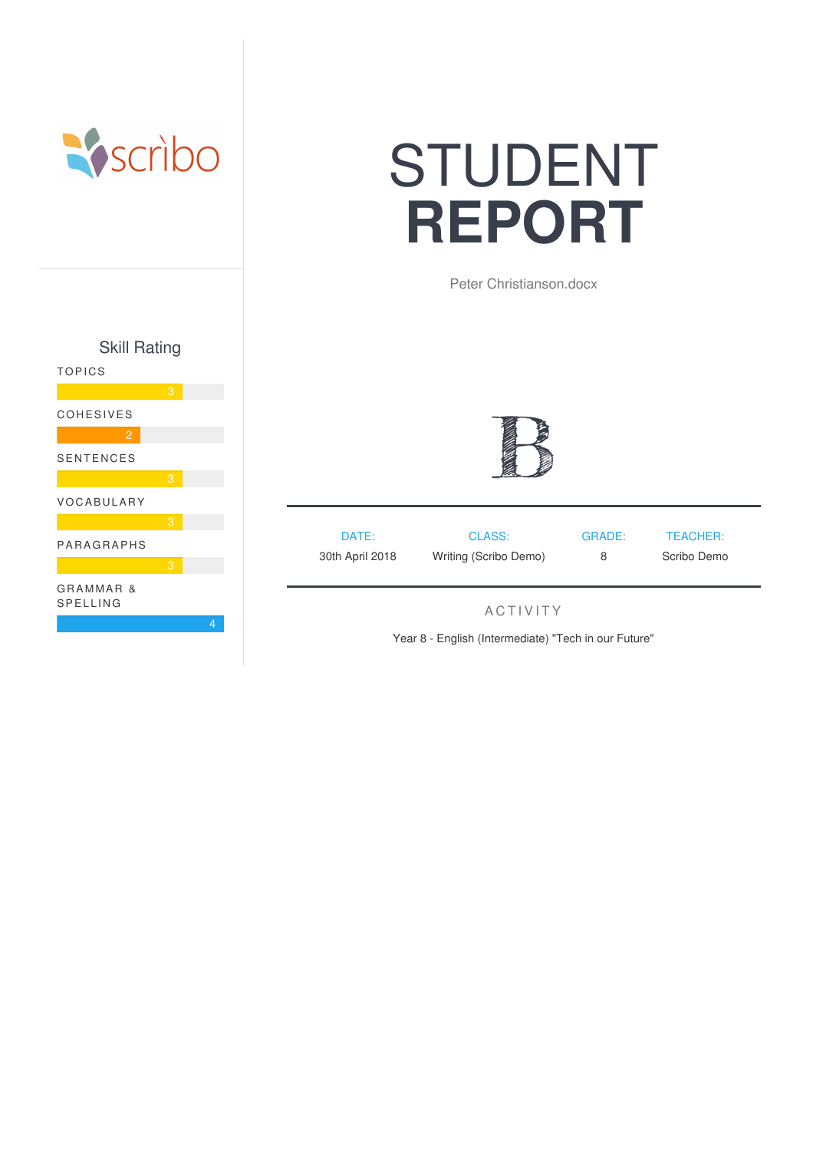

# STUDENT **REPORT**

Peter Christianson.docx





| DATE:                                    | CLASS: | GRADE: | TEACHER:    |
|------------------------------------------|--------|--------|-------------|
| 30th April 2018<br>Writing (Scribo Demo) |        | 8      | Scribo Demo |

## **ACTIVITY**

Year 8 - English (Intermediate) "Tech in our Future"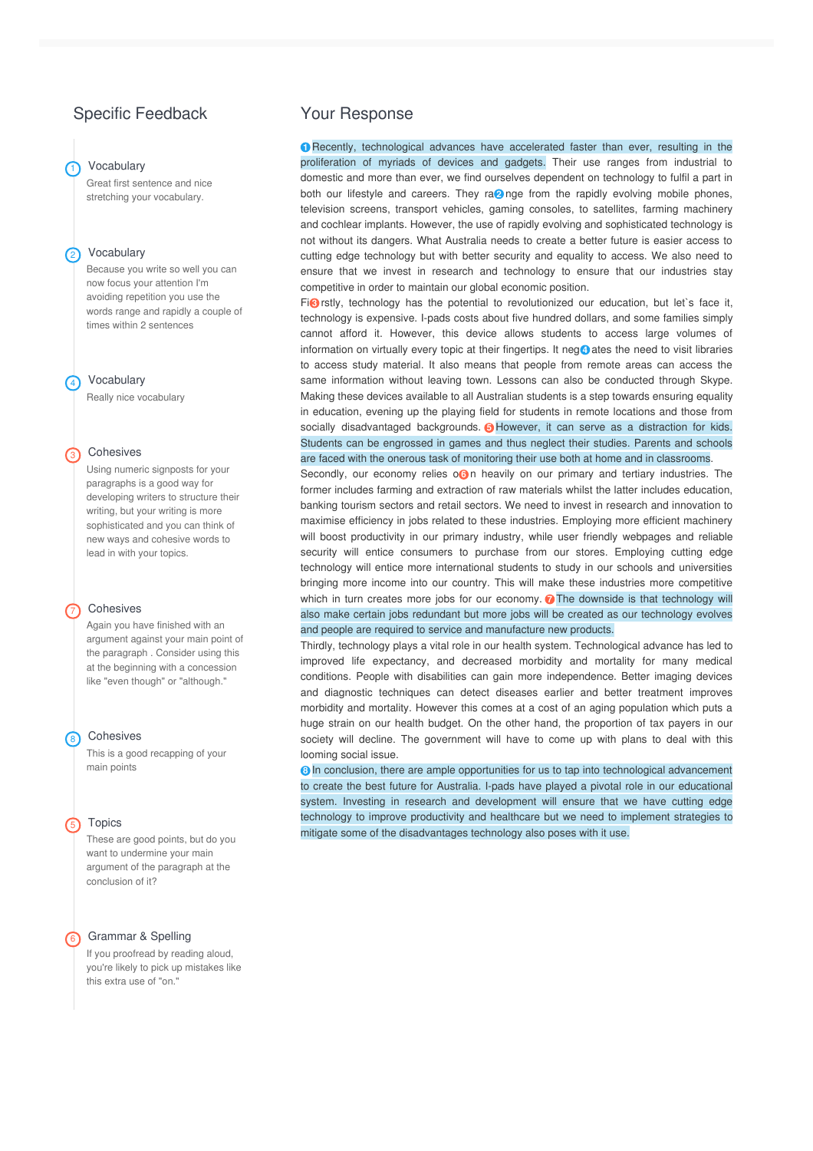## Specific Feedback

#### **Vocabulary**

Great first sentence and nice stretching your vocabulary.

#### 2 Vocabulary

Because you write so well you can now focus your attention I'm avoiding repetition you use the words range and rapidly a couple of times within 2 sentences

#### 4 Vocabulary

Really nice vocabulary

#### 3 Cohesives

Using numeric signposts for your paragraphs is a good way for developing writers to structure their writing, but your writing is more sophisticated and you can think of new ways and cohesive words to lead in with your topics.

#### 7 Cohesives

Again you have finished with an argument against your main point of the paragraph . Consider using this at the beginning with a concession like "even though" or "although."

#### <sup>8</sup> Cohesives

This is a good recapping of your main points

#### 5 Topics

These are good points, but do you want to undermine your main argument of the paragraph at the conclusion of it?

#### 6 Grammar & Spelling

If you proofread by reading aloud, you're likely to pick up mistakes like this extra use of "on."

### Your Response

**1** Recently, technological advances have accelerated faster than ever, resulting in the proliferation of myriads of devices and gadgets. Their use ranges from industrial to domestic and more than ever, we find ourselves dependent on technology to fulfil a part in both our lifestyle and careers. They ra<sup>2</sup> nge from the rapidly evolving mobile phones, television screens, transport vehicles, gaming consoles, to satellites, farming machinery and cochlear implants. However, the use of rapidly evolving and sophisticated technology is not without its dangers. What Australia needs to create a better future is easier access to cutting edge technology but with better security and equality to access. We also need to ensure that we invest in research and technology to ensure that our industries stay competitive in order to maintain our global economic position.

Fi<sup>O</sup> rstly, technology has the potential to revolutionized our education, but let's face it, technology is expensive. I-pads costs about five hundred dollars, and some families simply cannot afford it. However, this device allows students to access large volumes of information on virtually every topic at their fingertips. It neg **4** ates the need to visit libraries to access study material. It also means that people from remote areas can access the same information without leaving town. Lessons can also be conducted through Skype. Making these devices available to all Australian students is a step towards ensuring equality in education, evening up the playing field for students in remote locations and those from socially disadvantaged backgrounds. **5** However, it can serve as a distraction for kids. are faced with the onerous task of monitoring their use both at home and in classrooms. Students can be engrossed in games and thus neglect their studies. Parents and schools

Secondly, our economy relies o**G**<sub>n</sub> heavily on our primary and tertiary industries. The former includes farming and extraction of raw materials whilst the latter includes education, banking tourism sectors and retail sectors. We need to invest in research and innovation to maximise efficiency in jobs related to these industries. Employing more efficient machinery will boost productivity in our primary industry, while user friendly webpages and reliable security will entice consumers to purchase from our stores. Employing cutting edge technology will entice more international students to study in our schools and universities bringing more income into our country. This will make these industries more competitive which in turn creates more jobs for our economy. **7** The downside is that technology will also make certain jobs redundant but more jobs will be created as our technology evolves and people are required to service and manufacture new products.

Thirdly, technology plays a vital role in our health system. Technological advance has led to improved life expectancy, and decreased morbidity and mortality for many medical conditions. People with disabilities can gain more independence. Better imaging devices and diagnostic techniques can detect diseases earlier and better treatment improves morbidity and mortality. However this comes at a cost of an aging population which puts a huge strain on our health budget. On the other hand, the proportion of tax payers in our society will decline. The government will have to come up with plans to deal with this looming social issue.

**8** In conclusion, there are ample opportunities for us to tap into technological advancement to create the best future for Australia. I-pads have played a pivotal role in our educational system. Investing in research and development will ensure that we have cutting edge technology to improve productivity and healthcare but we need to implement strategies to mitigate some of the disadvantages technology also poses with it use.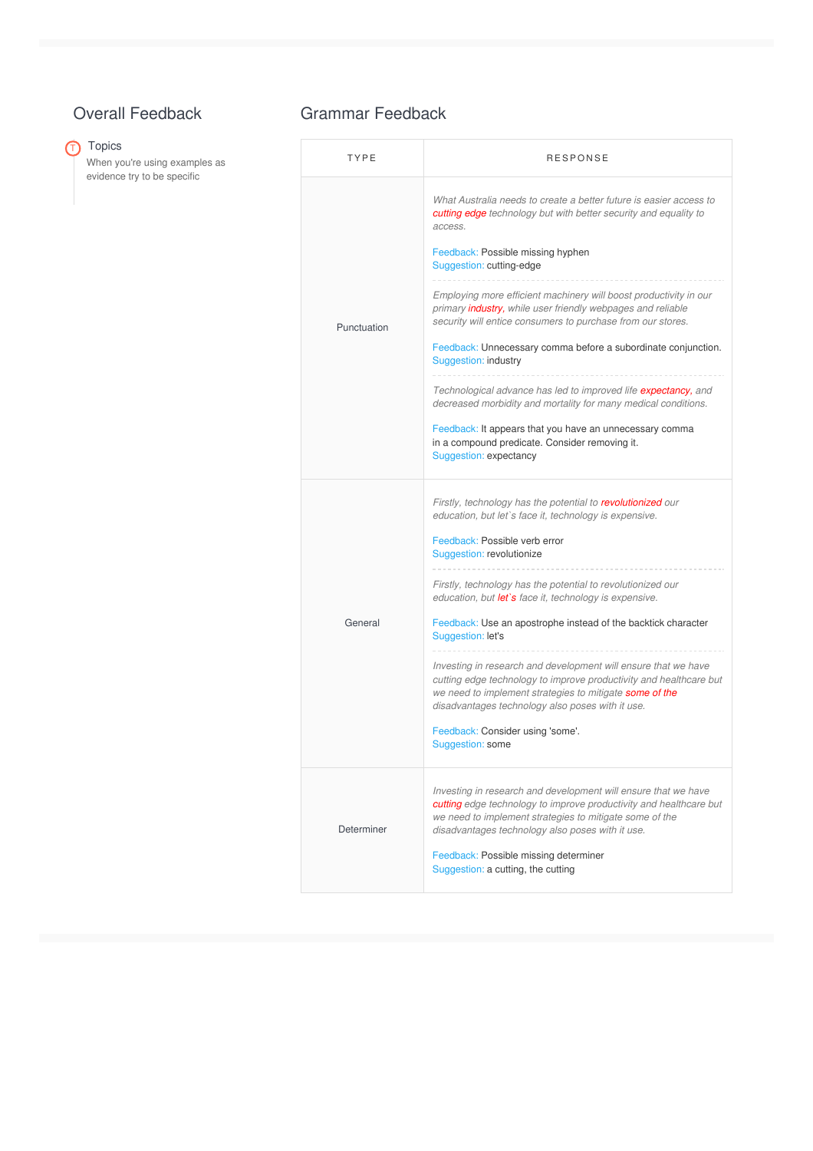# Overall Feedback

# $\overline{\mathbb{O}}$  Topics

When you're using examples as evidence try to be specific

## Grammar Feedback

| TYPE        | <b>RESPONSE</b>                                                                                                                                                                                                                                            |  |
|-------------|------------------------------------------------------------------------------------------------------------------------------------------------------------------------------------------------------------------------------------------------------------|--|
| Punctuation | What Australia needs to create a better future is easier access to<br>cutting edge technology but with better security and equality to<br>access.<br>Feedback: Possible missing hyphen<br>Suggestion: cutting-edge                                         |  |
|             | Employing more efficient machinery will boost productivity in our<br>primary <i>industry</i> , while user friendly webpages and reliable<br>security will entice consumers to purchase from our stores.                                                    |  |
|             | Feedback: Unnecessary comma before a subordinate conjunction.<br>Suggestion: industry                                                                                                                                                                      |  |
|             | Technological advance has led to improved life expectancy, and<br>decreased morbidity and mortality for many medical conditions.                                                                                                                           |  |
|             | Feedback: It appears that you have an unnecessary comma<br>in a compound predicate. Consider removing it.<br>Suggestion: expectancy                                                                                                                        |  |
| General     | Firstly, technology has the potential to revolutionized our<br>education, but let's face it, technology is expensive.                                                                                                                                      |  |
|             | Feedback: Possible verb error<br>Suggestion: revolutionize                                                                                                                                                                                                 |  |
|             | Firstly, technology has the potential to revolutionized our<br>education, but let's face it, technology is expensive.                                                                                                                                      |  |
|             | Feedback: Use an apostrophe instead of the backtick character<br>Suggestion: let's                                                                                                                                                                         |  |
|             | Investing in research and development will ensure that we have<br>cutting edge technology to improve productivity and healthcare but<br>we need to implement strategies to mitigate some of the<br>disadvantages technology also poses with it use.        |  |
|             | Feedback: Consider using 'some'.<br>Suggestion: some                                                                                                                                                                                                       |  |
| Determiner  | Investing in research and development will ensure that we have<br><b>cutting</b> edge technology to improve productivity and healthcare but<br>we need to implement strategies to mitigate some of the<br>disadvantages technology also poses with it use. |  |
|             | Feedback: Possible missing determiner<br>Suggestion: a cutting, the cutting                                                                                                                                                                                |  |